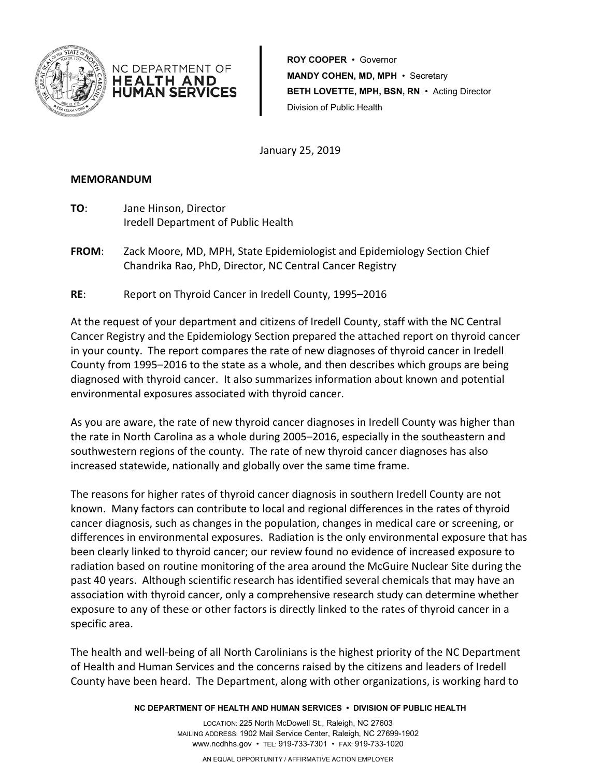

**ROY COOPER** • Governor **MANDY COHEN, MD, MPH** • Secretary **BETH LOVETTE, MPH, BSN, RN** • Acting Director Division of Public Health

January 25, 2019

#### **MEMORANDUM**

**TO**: Jane Hinson, Director Iredell Department of Public Health

NC DEPARTMENT OF HEALTH AND **HUMAN SERVICES** 

- **FROM**: Zack Moore, MD, MPH, State Epidemiologist and Epidemiology Section Chief Chandrika Rao, PhD, Director, NC Central Cancer Registry
- **RE**: Report on Thyroid Cancer in Iredell County, 1995–2016

At the request of your department and citizens of Iredell County, staff with the NC Central Cancer Registry and the Epidemiology Section prepared the attached report on thyroid cancer in your county. The report compares the rate of new diagnoses of thyroid cancer in Iredell County from 1995–2016 to the state as a whole, and then describes which groups are being diagnosed with thyroid cancer. It also summarizes information about known and potential environmental exposures associated with thyroid cancer.

As you are aware, the rate of new thyroid cancer diagnoses in Iredell County was higher than the rate in North Carolina as a whole during 2005–2016, especially in the southeastern and southwestern regions of the county. The rate of new thyroid cancer diagnoses has also increased statewide, nationally and globally over the same time frame.

The reasons for higher rates of thyroid cancer diagnosis in southern Iredell County are not known. Many factors can contribute to local and regional differences in the rates of thyroid cancer diagnosis, such as changes in the population, changes in medical care or screening, or differences in environmental exposures. Radiation is the only environmental exposure that has been clearly linked to thyroid cancer; our review found no evidence of increased exposure to radiation based on routine monitoring of the area around the McGuire Nuclear Site during the past 40 years. Although scientific research has identified several chemicals that may have an association with thyroid cancer, only a comprehensive research study can determine whether exposure to any of these or other factors is directly linked to the rates of thyroid cancer in a specific area.

The health and well-being of all North Carolinians is the highest priority of the NC Department of Health and Human Services and the concerns raised by the citizens and leaders of Iredell County have been heard. The Department, along with other organizations, is working hard to

**NC DEPARTMENT OF HEALTH AND HUMAN SERVICES • DIVISION OF PUBLIC HEALTH**

LOCATION: 225 North McDowell St., Raleigh, NC 27603 MAILING ADDRESS: 1902 Mail Service Center, Raleigh, NC 27699-1902 www.ncdhhs.gov • TEL: 919-733-7301 • FAX: 919-733-1020

AN EQUAL OPPORTUNITY / AFFIRMATIVE ACTION EMPLOYER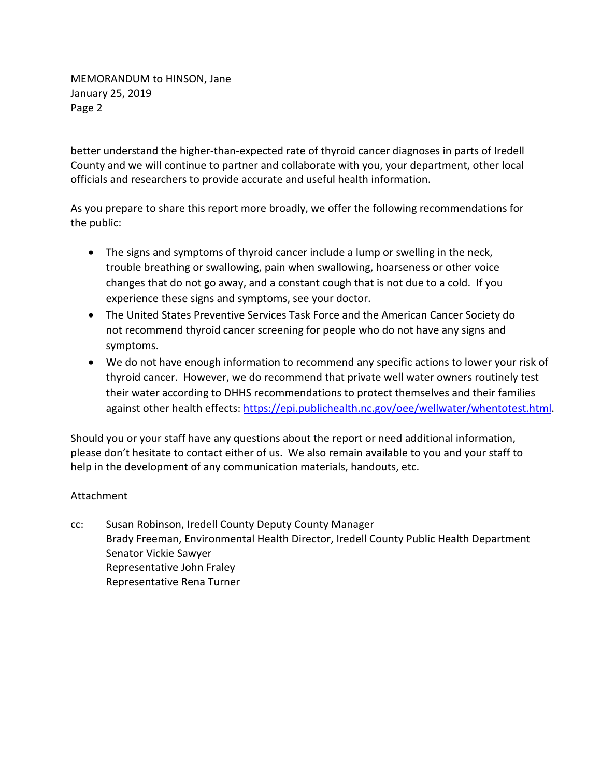MEMORANDUM to HINSON, Jane January 25, 2019 Page 2

better understand the higher-than-expected rate of thyroid cancer diagnoses in parts of Iredell County and we will continue to partner and collaborate with you, your department, other local officials and researchers to provide accurate and useful health information.

As you prepare to share this report more broadly, we offer the following recommendations for the public:

- The signs and symptoms of thyroid cancer include a lump or swelling in the neck, trouble breathing or swallowing, pain when swallowing, hoarseness or other voice changes that do not go away, and a constant cough that is not due to a cold. If you experience these signs and symptoms, see your doctor.
- The United States Preventive Services Task Force and the American Cancer Society do not recommend thyroid cancer screening for people who do not have any signs and symptoms.
- We do not have enough information to recommend any specific actions to lower your risk of thyroid cancer. However, we do recommend that private well water owners routinely test their water according to DHHS recommendations to protect themselves and their families against other health effects: https://epi.publichealth.nc.gov/oee/wellwater/whentotest.html.

Should you or your staff have any questions about the report or need additional information, please don't hesitate to contact either of us. We also remain available to you and your staff to help in the development of any communication materials, handouts, etc.

#### Attachment

cc: Susan Robinson, Iredell County Deputy County Manager Brady Freeman, Environmental Health Director, Iredell County Public Health Department Senator Vickie Sawyer Representative John Fraley Representative Rena Turner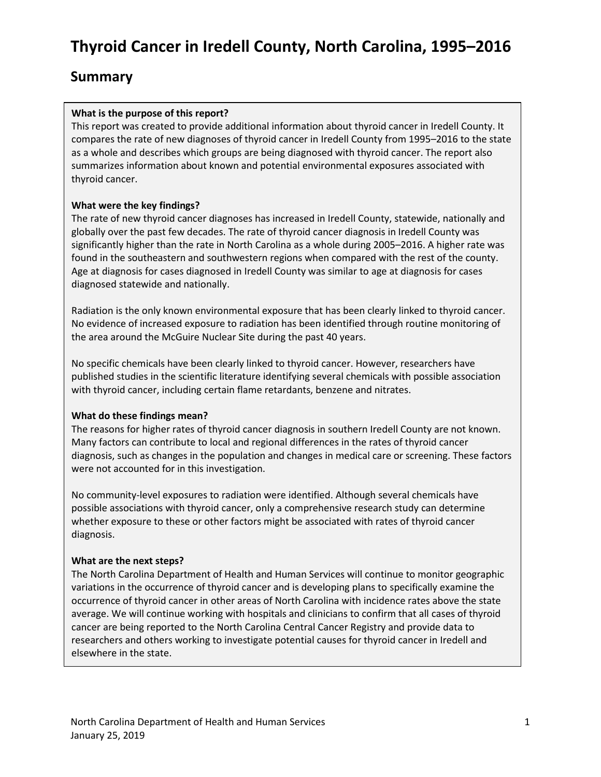# **Thyroid Cancer in Iredell County, North Carolina, 1995–2016**

### **Summary**

#### **What is the purpose of this report?**

This report was created to provide additional information about thyroid cancer in Iredell County. It compares the rate of new diagnoses of thyroid cancer in Iredell County from 1995–2016 to the state as a whole and describes which groups are being diagnosed with thyroid cancer. The report also summarizes information about known and potential environmental exposures associated with thyroid cancer.

#### **What were the key findings?**

The rate of new thyroid cancer diagnoses has increased in Iredell County, statewide, nationally and globally over the past few decades. The rate of thyroid cancer diagnosis in Iredell County was significantly higher than the rate in North Carolina as a whole during 2005–2016. A higher rate was found in the southeastern and southwestern regions when compared with the rest of the county. Age at diagnosis for cases diagnosed in Iredell County was similar to age at diagnosis for cases diagnosed statewide and nationally.

Radiation is the only known environmental exposure that has been clearly linked to thyroid cancer. No evidence of increased exposure to radiation has been identified through routine monitoring of the area around the McGuire Nuclear Site during the past 40 years.

No specific chemicals have been clearly linked to thyroid cancer. However, researchers have published studies in the scientific literature identifying several chemicals with possible association with thyroid cancer, including certain flame retardants, benzene and nitrates.

#### **What do these findings mean?**

The reasons for higher rates of thyroid cancer diagnosis in southern Iredell County are not known. Many factors can contribute to local and regional differences in the rates of thyroid cancer diagnosis, such as changes in the population and changes in medical care or screening. These factors were not accounted for in this investigation.

No community-level exposures to radiation were identified. Although several chemicals have possible associations with thyroid cancer, only a comprehensive research study can determine whether exposure to these or other factors might be associated with rates of thyroid cancer diagnosis.

#### **What are the next steps?**

The North Carolina Department of Health and Human Services will continue to monitor geographic variations in the occurrence of thyroid cancer and is developing plans to specifically examine the occurrence of thyroid cancer in other areas of North Carolina with incidence rates above the state average. We will continue working with hospitals and clinicians to confirm that all cases of thyroid cancer are being reported to the North Carolina Central Cancer Registry and provide data to researchers and others working to investigate potential causes for thyroid cancer in Iredell and elsewhere in the state.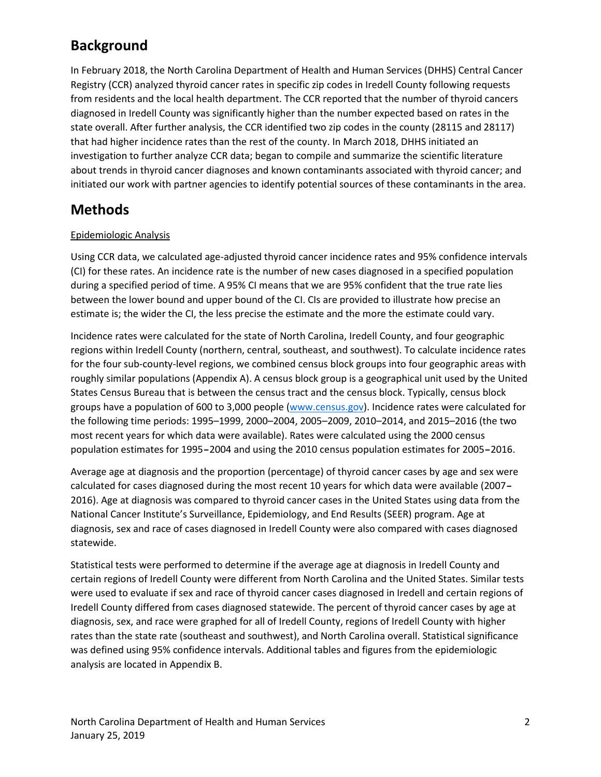## **Background**

In February 2018, the North Carolina Department of Health and Human Services (DHHS) Central Cancer Registry (CCR) analyzed thyroid cancer rates in specific zip codes in Iredell County following requests from residents and the local health department. The CCR reported that the number of thyroid cancers diagnosed in Iredell County was significantly higher than the number expected based on rates in the state overall. After further analysis, the CCR identified two zip codes in the county (28115 and 28117) that had higher incidence rates than the rest of the county. In March 2018, DHHS initiated an investigation to further analyze CCR data; began to compile and summarize the scientific literature about trends in thyroid cancer diagnoses and known contaminants associated with thyroid cancer; and initiated our work with partner agencies to identify potential sources of these contaminants in the area.

## **Methods**

#### Epidemiologic Analysis

Using CCR data, we calculated age-adjusted thyroid cancer incidence rates and 95% confidence intervals (CI) for these rates. An incidence rate is the number of new cases diagnosed in a specified population during a specified period of time. A 95% CI means that we are 95% confident that the true rate lies between the lower bound and upper bound of the CI. CIs are provided to illustrate how precise an estimate is; the wider the CI, the less precise the estimate and the more the estimate could vary.

Incidence rates were calculated for the state of North Carolina, Iredell County, and four geographic regions within Iredell County (northern, central, southeast, and southwest). To calculate incidence rates for the four sub-county-level regions, we combined census block groups into four geographic areas with roughly similar populations (Appendix A). A census block group is a geographical unit used by the United States Census Bureau that is between the census tract and the census block. Typically, census block groups have a population of 600 to 3,000 people (www.census.gov). Incidence rates were calculated for the following time periods: 1995–1999, 2000–2004, 2005–2009, 2010–2014, and 2015–2016 (the two most recent years for which data were available). Rates were calculated using the 2000 census population estimates for 1995–2004 and using the 2010 census population estimates for 2005–2016.

Average age at diagnosis and the proportion (percentage) of thyroid cancer cases by age and sex were calculated for cases diagnosed during the most recent 10 years for which data were available (2007– 2016). Age at diagnosis was compared to thyroid cancer cases in the United States using data from the National Cancer Institute's Surveillance, Epidemiology, and End Results (SEER) program. Age at diagnosis, sex and race of cases diagnosed in Iredell County were also compared with cases diagnosed statewide.

Statistical tests were performed to determine if the average age at diagnosis in Iredell County and certain regions of Iredell County were different from North Carolina and the United States. Similar tests were used to evaluate if sex and race of thyroid cancer cases diagnosed in Iredell and certain regions of Iredell County differed from cases diagnosed statewide. The percent of thyroid cancer cases by age at diagnosis, sex, and race were graphed for all of Iredell County, regions of Iredell County with higher rates than the state rate (southeast and southwest), and North Carolina overall. Statistical significance was defined using 95% confidence intervals. Additional tables and figures from the epidemiologic analysis are located in Appendix B.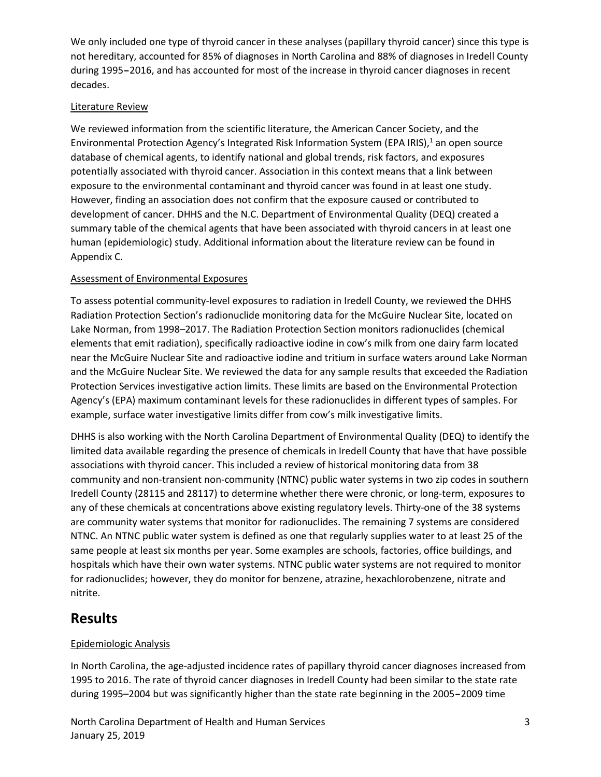We only included one type of thyroid cancer in these analyses (papillary thyroid cancer) since this type is not hereditary, accounted for 85% of diagnoses in North Carolina and 88% of diagnoses in Iredell County during 1995–2016, and has accounted for most of the increase in thyroid cancer diagnoses in recent decades.

#### Literature Review

We reviewed information from the scientific literature, the American Cancer Society, and the Environmental Protection Agency's Integrated Risk Information System (EPA IRIS), $1$  an open source database of chemical agents, to identify national and global trends, risk factors, and exposures potentially associated with thyroid cancer. Association in this context means that a link between exposure to the environmental contaminant and thyroid cancer was found in at least one study. However, finding an association does not confirm that the exposure caused or contributed to development of cancer. DHHS and the N.C. Department of Environmental Quality (DEQ) created a summary table of the chemical agents that have been associated with thyroid cancers in at least one human (epidemiologic) study. Additional information about the literature review can be found in Appendix C.

#### Assessment of Environmental Exposures

To assess potential community-level exposures to radiation in Iredell County, we reviewed the DHHS Radiation Protection Section's radionuclide monitoring data for the McGuire Nuclear Site, located on Lake Norman, from 1998–2017. The Radiation Protection Section monitors radionuclides (chemical elements that emit radiation), specifically radioactive iodine in cow's milk from one dairy farm located near the McGuire Nuclear Site and radioactive iodine and tritium in surface waters around Lake Norman and the McGuire Nuclear Site. We reviewed the data for any sample results that exceeded the Radiation Protection Services investigative action limits. These limits are based on the Environmental Protection Agency's (EPA) maximum contaminant levels for these radionuclides in different types of samples. For example, surface water investigative limits differ from cow's milk investigative limits.

DHHS is also working with the North Carolina Department of Environmental Quality (DEQ) to identify the limited data available regarding the presence of chemicals in Iredell County that have that have possible associations with thyroid cancer. This included a review of historical monitoring data from 38 community and non-transient non-community (NTNC) public water systems in two zip codes in southern Iredell County (28115 and 28117) to determine whether there were chronic, or long-term, exposures to any of these chemicals at concentrations above existing regulatory levels. Thirty-one of the 38 systems are community water systems that monitor for radionuclides. The remaining 7 systems are considered NTNC. An NTNC public water system is defined as one that regularly supplies water to at least 25 of the same people at least six months per year. Some examples are schools, factories, office buildings, and hospitals which have their own water systems. NTNC public water systems are not required to monitor for radionuclides; however, they do monitor for benzene, atrazine, hexachlorobenzene, nitrate and nitrite.

## **Results**

#### Epidemiologic Analysis

In North Carolina, the age-adjusted incidence rates of papillary thyroid cancer diagnoses increased from 1995 to 2016. The rate of thyroid cancer diagnoses in Iredell County had been similar to the state rate during 1995–2004 but was significantly higher than the state rate beginning in the 2005–2009 time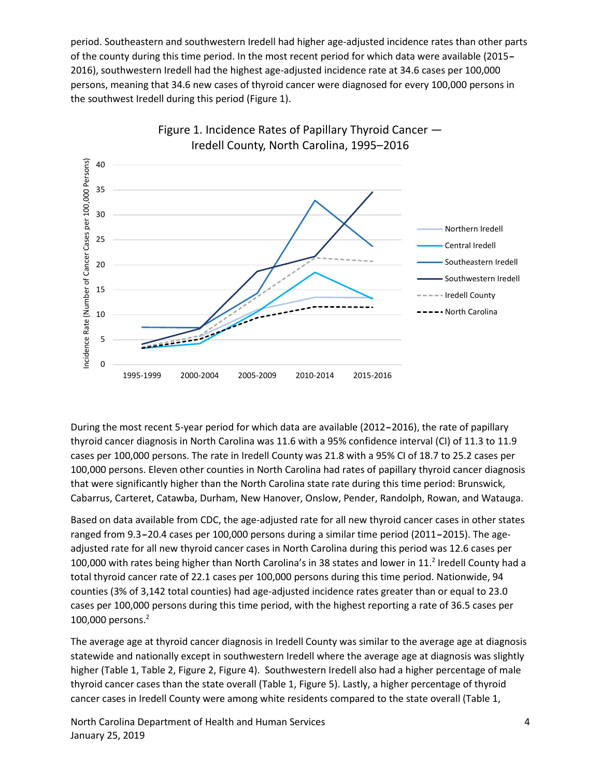period. Southeastern and southwestern Iredell had higher age-adjusted incidence rates than other parts of the county during this time period. In the most recent period for which data were available (2015– 2016), southwestern Iredell had the highest age-adjusted incidence rate at 34.6 cases per 100,000 persons, meaning that 34.6 new cases of thyroid cancer were diagnosed for every 100,000 persons in the southwest Iredell during this period (Figure 1).



During the most recent 5-year period for which data are available (2012–2016), the rate of papillary thyroid cancer diagnosis in North Carolina was 11.6 with a 95% confidence interval (CI) of 11.3 to 11.9 cases per 100,000 persons. The rate in Iredell County was 21.8 with a 95% CI of 18.7 to 25.2 cases per 100,000 persons. Eleven other counties in North Carolina had rates of papillary thyroid cancer diagnosis that were significantly higher than the North Carolina state rate during this time period: Brunswick, Cabarrus, Carteret, Catawba, Durham, New Hanover, Onslow, Pender, Randolph, Rowan, and Watauga.

Based on data available from CDC, the age-adjusted rate for all new thyroid cancer cases in other states ranged from 9.3–20.4 cases per 100,000 persons during a similar time period (2011–2015). The ageadjusted rate for all new thyroid cancer cases in North Carolina during this period was 12.6 cases per 100,000 with rates being higher than North Carolina's in 38 states and lower in 11. <sup>2</sup> Iredell County had a total thyroid cancer rate of 22.1 cases per 100,000 persons during this time period. Nationwide, 94 counties (3% of 3,142 total counties) had age-adjusted incidence rates greater than or equal to 23.0 cases per 100,000 persons during this time period, with the highest reporting a rate of 36.5 cases per 100,000 persons.2

The average age at thyroid cancer diagnosis in Iredell County was similar to the average age at diagnosis statewide and nationally except in southwestern Iredell where the average age at diagnosis was slightly higher (Table 1, Table 2, Figure 2, Figure 4). Southwestern Iredell also had a higher percentage of male thyroid cancer cases than the state overall (Table 1, Figure 5). Lastly, a higher percentage of thyroid cancer cases in Iredell County were among white residents compared to the state overall (Table 1,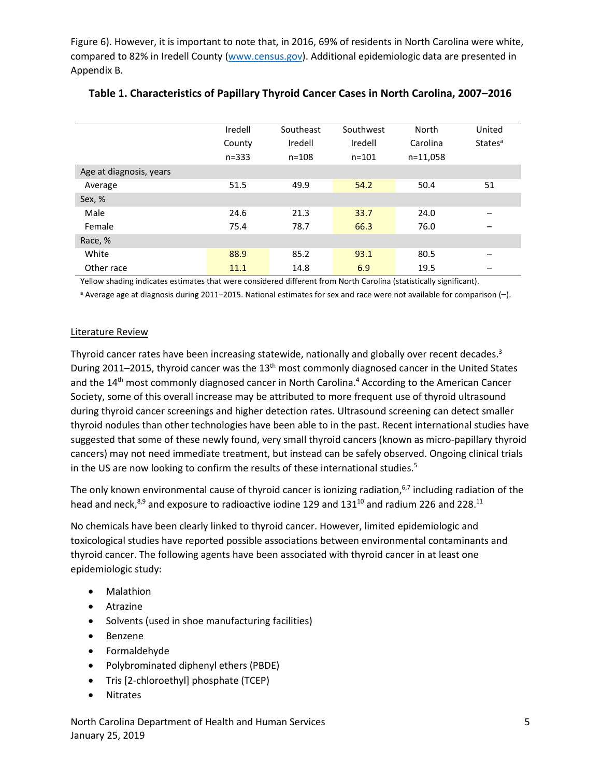Figure 6). However, it is important to note that, in 2016, 69% of residents in North Carolina were white, compared to 82% in Iredell County (www.census.gov). Additional epidemiologic data are presented in Appendix B.

|                         | Iredell   | Southeast | Southwest | North    | United                     |
|-------------------------|-----------|-----------|-----------|----------|----------------------------|
|                         | County    | Iredell   | Iredell   | Carolina | <b>States</b> <sup>a</sup> |
|                         | $n = 333$ | $n = 108$ | $n = 101$ | n=11,058 |                            |
| Age at diagnosis, years |           |           |           |          |                            |
| Average                 | 51.5      | 49.9      | 54.2      | 50.4     | 51                         |
| Sex, %                  |           |           |           |          |                            |
| Male                    | 24.6      | 21.3      | 33.7      | 24.0     |                            |
| Female                  | 75.4      | 78.7      | 66.3      | 76.0     |                            |
| Race, %                 |           |           |           |          |                            |
| White                   | 88.9      | 85.2      | 93.1      | 80.5     |                            |
| Other race              | 11.1      | 14.8      | 6.9       | 19.5     | –                          |

#### **Table 1. Characteristics of Papillary Thyroid Cancer Cases in North Carolina, 2007–2016**

Yellow shading indicates estimates that were considered different from North Carolina (statistically significant).

<sup>a</sup> Average age at diagnosis during 2011–2015. National estimates for sex and race were not available for comparison (–).

#### Literature Review

Thyroid cancer rates have been increasing statewide, nationally and globally over recent decades.<sup>3</sup> During 2011–2015, thyroid cancer was the  $13<sup>th</sup>$  most commonly diagnosed cancer in the United States and the 14<sup>th</sup> most commonly diagnosed cancer in North Carolina.<sup>4</sup> According to the American Cancer Society, some of this overall increase may be attributed to more frequent use of thyroid ultrasound during thyroid cancer screenings and higher detection rates. Ultrasound screening can detect smaller thyroid nodules than other technologies have been able to in the past. Recent international studies have suggested that some of these newly found, very small thyroid cancers (known as micro-papillary thyroid cancers) may not need immediate treatment, but instead can be safely observed. Ongoing clinical trials in the US are now looking to confirm the results of these international studies.<sup>5</sup>

The only known environmental cause of thyroid cancer is ionizing radiation,<sup>6,7</sup> including radiation of the head and neck, $8,9$  and exposure to radioactive iodine 129 and 131<sup>10</sup> and radium 226 and 228.<sup>11</sup>

No chemicals have been clearly linked to thyroid cancer. However, limited epidemiologic and toxicological studies have reported possible associations between environmental contaminants and thyroid cancer. The following agents have been associated with thyroid cancer in at least one epidemiologic study:

- Malathion
- Atrazine
- Solvents (used in shoe manufacturing facilities)
- Benzene
- Formaldehyde
- Polybrominated diphenyl ethers (PBDE)
- Tris [2-chloroethyl] phosphate (TCEP)
- **Nitrates**

North Carolina Department of Health and Human Services 5 January 25, 2019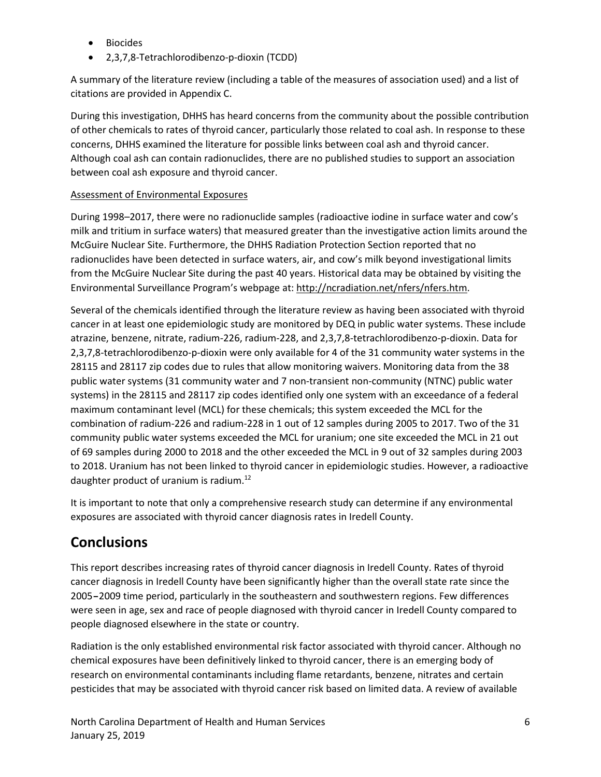- Biocides
- 2,3,7,8-Tetrachlorodibenzo-p-dioxin (TCDD)

A summary of the literature review (including a table of the measures of association used) and a list of citations are provided in Appendix C.

During this investigation, DHHS has heard concerns from the community about the possible contribution of other chemicals to rates of thyroid cancer, particularly those related to coal ash. In response to these concerns, DHHS examined the literature for possible links between coal ash and thyroid cancer. Although coal ash can contain radionuclides, there are no published studies to support an association between coal ash exposure and thyroid cancer.

#### Assessment of Environmental Exposures

During 1998–2017, there were no radionuclide samples (radioactive iodine in surface water and cow's milk and tritium in surface waters) that measured greater than the investigative action limits around the McGuire Nuclear Site. Furthermore, the DHHS Radiation Protection Section reported that no radionuclides have been detected in surface waters, air, and cow's milk beyond investigational limits from the McGuire Nuclear Site during the past 40 years. Historical data may be obtained by visiting the Environmental Surveillance Program's webpage at: http://ncradiation.net/nfers/nfers.htm.

Several of the chemicals identified through the literature review as having been associated with thyroid cancer in at least one epidemiologic study are monitored by DEQ in public water systems. These include atrazine, benzene, nitrate, radium-226, radium-228, and 2,3,7,8-tetrachlorodibenzo-p-dioxin. Data for 2,3,7,8-tetrachlorodibenzo-p-dioxin were only available for 4 of the 31 community water systems in the 28115 and 28117 zip codes due to rules that allow monitoring waivers. Monitoring data from the 38 public water systems (31 community water and 7 non-transient non-community (NTNC) public water systems) in the 28115 and 28117 zip codes identified only one system with an exceedance of a federal maximum contaminant level (MCL) for these chemicals; this system exceeded the MCL for the combination of radium-226 and radium-228 in 1 out of 12 samples during 2005 to 2017. Two of the 31 community public water systems exceeded the MCL for uranium; one site exceeded the MCL in 21 out of 69 samples during 2000 to 2018 and the other exceeded the MCL in 9 out of 32 samples during 2003 to 2018. Uranium has not been linked to thyroid cancer in epidemiologic studies. However, a radioactive daughter product of uranium is radium.12

It is important to note that only a comprehensive research study can determine if any environmental exposures are associated with thyroid cancer diagnosis rates in Iredell County.

## **Conclusions**

This report describes increasing rates of thyroid cancer diagnosis in Iredell County. Rates of thyroid cancer diagnosis in Iredell County have been significantly higher than the overall state rate since the 2005–2009 time period, particularly in the southeastern and southwestern regions. Few differences were seen in age, sex and race of people diagnosed with thyroid cancer in Iredell County compared to people diagnosed elsewhere in the state or country.

Radiation is the only established environmental risk factor associated with thyroid cancer. Although no chemical exposures have been definitively linked to thyroid cancer, there is an emerging body of research on environmental contaminants including flame retardants, benzene, nitrates and certain pesticides that may be associated with thyroid cancer risk based on limited data. A review of available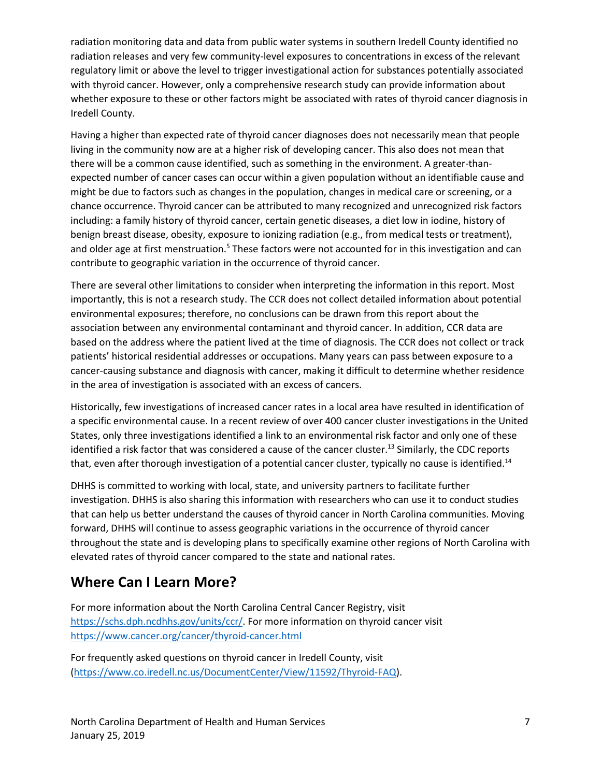radiation monitoring data and data from public water systems in southern Iredell County identified no radiation releases and very few community-level exposures to concentrations in excess of the relevant regulatory limit or above the level to trigger investigational action for substances potentially associated with thyroid cancer. However, only a comprehensive research study can provide information about whether exposure to these or other factors might be associated with rates of thyroid cancer diagnosis in Iredell County.

Having a higher than expected rate of thyroid cancer diagnoses does not necessarily mean that people living in the community now are at a higher risk of developing cancer. This also does not mean that there will be a common cause identified, such as something in the environment. A greater-thanexpected number of cancer cases can occur within a given population without an identifiable cause and might be due to factors such as changes in the population, changes in medical care or screening, or a chance occurrence. Thyroid cancer can be attributed to many recognized and unrecognized risk factors including: a family history of thyroid cancer, certain genetic diseases, a diet low in iodine, history of benign breast disease, obesity, exposure to ionizing radiation (e.g., from medical tests or treatment), and older age at first menstruation.<sup>5</sup> These factors were not accounted for in this investigation and can contribute to geographic variation in the occurrence of thyroid cancer.

There are several other limitations to consider when interpreting the information in this report. Most importantly, this is not a research study. The CCR does not collect detailed information about potential environmental exposures; therefore, no conclusions can be drawn from this report about the association between any environmental contaminant and thyroid cancer. In addition, CCR data are based on the address where the patient lived at the time of diagnosis. The CCR does not collect or track patients' historical residential addresses or occupations. Many years can pass between exposure to a cancer-causing substance and diagnosis with cancer, making it difficult to determine whether residence in the area of investigation is associated with an excess of cancers.

Historically, few investigations of increased cancer rates in a local area have resulted in identification of a specific environmental cause. In a recent review of over 400 cancer cluster investigations in the United States, only three investigations identified a link to an environmental risk factor and only one of these identified a risk factor that was considered a cause of the cancer cluster.<sup>13</sup> Similarly, the CDC reports that, even after thorough investigation of a potential cancer cluster, typically no cause is identified.<sup>14</sup>

DHHS is committed to working with local, state, and university partners to facilitate further investigation. DHHS is also sharing this information with researchers who can use it to conduct studies that can help us better understand the causes of thyroid cancer in North Carolina communities. Moving forward, DHHS will continue to assess geographic variations in the occurrence of thyroid cancer throughout the state and is developing plans to specifically examine other regions of North Carolina with elevated rates of thyroid cancer compared to the state and national rates.

# **Where Can I Learn More?**

For more information about the North Carolina Central Cancer Registry, visit https://schs.dph.ncdhhs.gov/units/ccr/. For more information on thyroid cancer visit https://www.cancer.org/cancer/thyroid-cancer.html

For frequently asked questions on thyroid cancer in Iredell County, visit (https://www.co.iredell.nc.us/DocumentCenter/View/11592/Thyroid-FAQ).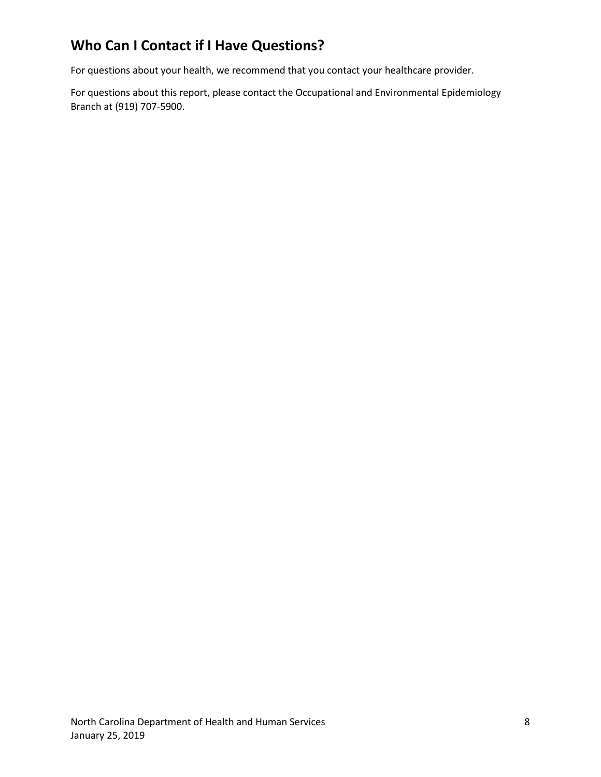# **Who Can I Contact if I Have Questions?**

For questions about your health, we recommend that you contact your healthcare provider.

For questions about this report, please contact the Occupational and Environmental Epidemiology Branch at (919) 707-5900.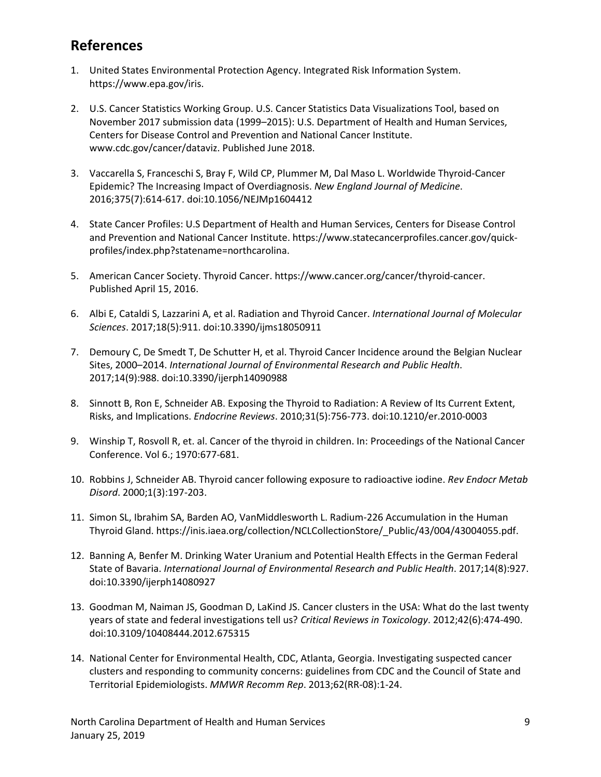## **References**

- 1. United States Environmental Protection Agency. Integrated Risk Information System. https://www.epa.gov/iris.
- 2. U.S. Cancer Statistics Working Group. U.S. Cancer Statistics Data Visualizations Tool, based on November 2017 submission data (1999–2015): U.S. Department of Health and Human Services, Centers for Disease Control and Prevention and National Cancer Institute. www.cdc.gov/cancer/dataviz. Published June 2018.
- 3. Vaccarella S, Franceschi S, Bray F, Wild CP, Plummer M, Dal Maso L. Worldwide Thyroid-Cancer Epidemic? The Increasing Impact of Overdiagnosis. *New England Journal of Medicine*. 2016;375(7):614-617. doi:10.1056/NEJMp1604412
- 4. State Cancer Profiles: U.S Department of Health and Human Services, Centers for Disease Control and Prevention and National Cancer Institute. https://www.statecancerprofiles.cancer.gov/quickprofiles/index.php?statename=northcarolina.
- 5. American Cancer Society. Thyroid Cancer. https://www.cancer.org/cancer/thyroid-cancer. Published April 15, 2016.
- 6. Albi E, Cataldi S, Lazzarini A, et al. Radiation and Thyroid Cancer. *International Journal of Molecular Sciences*. 2017;18(5):911. doi:10.3390/ijms18050911
- 7. Demoury C, De Smedt T, De Schutter H, et al. Thyroid Cancer Incidence around the Belgian Nuclear Sites, 2000–2014. *International Journal of Environmental Research and Public Health*. 2017;14(9):988. doi:10.3390/ijerph14090988
- 8. Sinnott B, Ron E, Schneider AB. Exposing the Thyroid to Radiation: A Review of Its Current Extent, Risks, and Implications. *Endocrine Reviews*. 2010;31(5):756-773. doi:10.1210/er.2010-0003
- 9. Winship T, Rosvoll R, et. al. Cancer of the thyroid in children. In: Proceedings of the National Cancer Conference. Vol 6.; 1970:677-681.
- 10. Robbins J, Schneider AB. Thyroid cancer following exposure to radioactive iodine. *Rev Endocr Metab Disord*. 2000;1(3):197-203.
- 11. Simon SL, Ibrahim SA, Barden AO, VanMiddlesworth L. Radium-226 Accumulation in the Human Thyroid Gland. https://inis.iaea.org/collection/NCLCollectionStore/\_Public/43/004/43004055.pdf.
- 12. Banning A, Benfer M. Drinking Water Uranium and Potential Health Effects in the German Federal State of Bavaria. *International Journal of Environmental Research and Public Health*. 2017;14(8):927. doi:10.3390/ijerph14080927
- 13. Goodman M, Naiman JS, Goodman D, LaKind JS. Cancer clusters in the USA: What do the last twenty years of state and federal investigations tell us? *Critical Reviews in Toxicology*. 2012;42(6):474-490. doi:10.3109/10408444.2012.675315
- 14. National Center for Environmental Health, CDC, Atlanta, Georgia. Investigating suspected cancer clusters and responding to community concerns: guidelines from CDC and the Council of State and Territorial Epidemiologists. *MMWR Recomm Rep*. 2013;62(RR-08):1-24.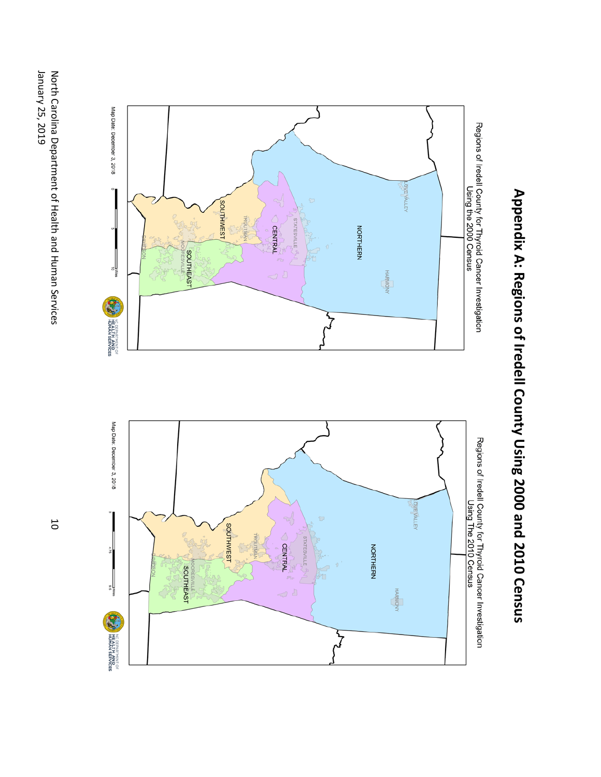



# Appendix A: Regions of Iredell County Using 2000 and 2010 Census **Appendix A: Regions of Iredell County Using 2000 and 2010 Census**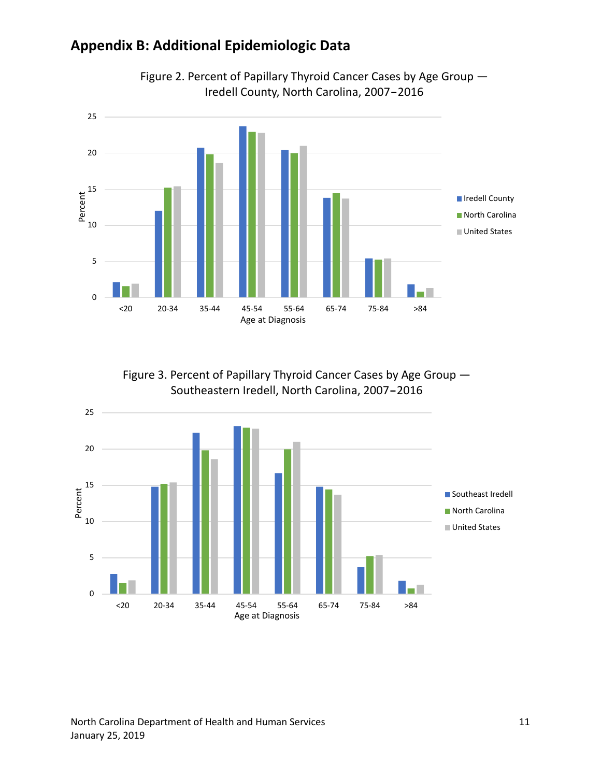## **Appendix B: Additional Epidemiologic Data**



Figure 2. Percent of Papillary Thyroid Cancer Cases by Age Group — Iredell County, North Carolina, 2007–2016

Figure 3. Percent of Papillary Thyroid Cancer Cases by Age Group — Southeastern Iredell, North Carolina, 2007–2016

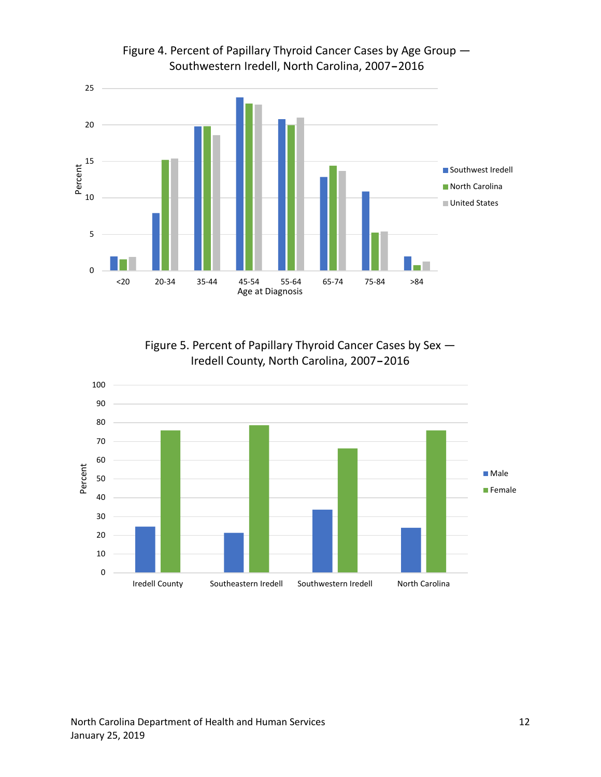

Figure 4. Percent of Papillary Thyroid Cancer Cases by Age Group — Southwestern Iredell, North Carolina, 2007–2016

Figure 5. Percent of Papillary Thyroid Cancer Cases by Sex — Iredell County, North Carolina, 2007–2016

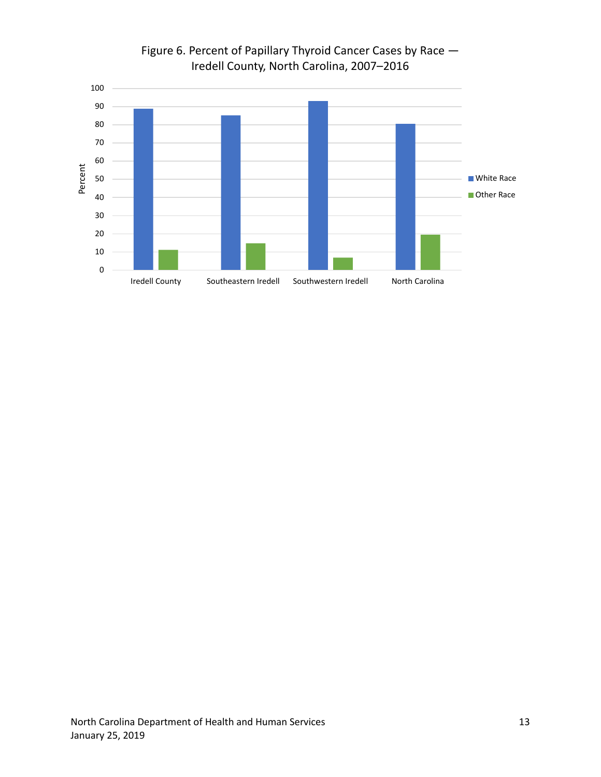

## Figure 6. Percent of Papillary Thyroid Cancer Cases by Race — Iredell County, North Carolina, 2007–2016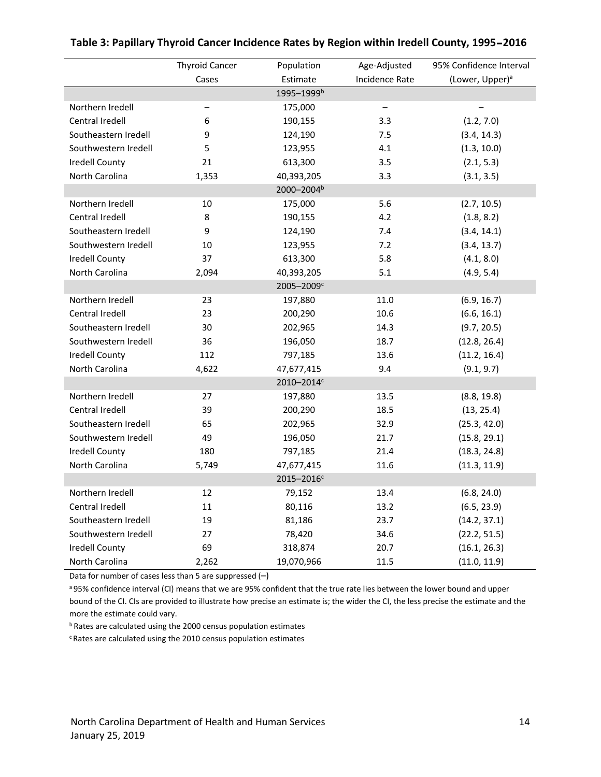|                        | <b>Thyroid Cancer</b> | Population             | Age-Adjusted   | 95% Confidence Interval     |  |
|------------------------|-----------------------|------------------------|----------------|-----------------------------|--|
|                        | Cases                 | Estimate               | Incidence Rate | (Lower, Upper) <sup>a</sup> |  |
|                        |                       | 1995-1999 <sup>b</sup> |                |                             |  |
| Northern Iredell       | —                     | 175,000                | —              |                             |  |
| Central Iredell        | 6                     | 190,155                | 3.3            | (1.2, 7.0)                  |  |
| Southeastern Iredell   | 9                     | 124,190                | 7.5            | (3.4, 14.3)                 |  |
| Southwestern Iredell   | 5                     | 123,955                | 4.1            | (1.3, 10.0)                 |  |
| <b>Iredell County</b>  | 21                    | 613,300                | 3.5            | (2.1, 5.3)                  |  |
| North Carolina         | 1,353                 | 40,393,205             | 3.3            | (3.1, 3.5)                  |  |
|                        |                       | 2000-2004 <sup>b</sup> |                |                             |  |
| Northern Iredell       | 10                    | 175,000                | 5.6            | (2.7, 10.5)                 |  |
| Central Iredell        | 8                     | 190,155                | 4.2            | (1.8, 8.2)                  |  |
| Southeastern Iredell   | 9                     | 124,190                | 7.4            | (3.4, 14.1)                 |  |
| Southwestern Iredell   | 10                    | 123,955                | 7.2            | (3.4, 13.7)                 |  |
| Iredell County         | 37                    | 613,300                | 5.8            | (4.1, 8.0)                  |  |
| North Carolina         | 2,094                 | 40,393,205             | 5.1            | (4.9, 5.4)                  |  |
|                        |                       | 2005-2009c             |                |                             |  |
| Northern Iredell       | 23                    | 197,880                | 11.0           | (6.9, 16.7)                 |  |
| Central Iredell        | 23                    | 200,290                | 10.6           | (6.6, 16.1)                 |  |
| Southeastern Iredell   | 30                    | 202,965                | 14.3           | (9.7, 20.5)                 |  |
| Southwestern Iredell   | 36                    | 196,050                | 18.7           | (12.8, 26.4)                |  |
| Iredell County         | 112                   | 797,185                | 13.6           | (11.2, 16.4)                |  |
| North Carolina         | 4,622                 | 47,677,415             | 9.4            | (9.1, 9.7)                  |  |
| 2010-2014c             |                       |                        |                |                             |  |
| Northern Iredell       | 27                    | 197,880                | 13.5           | (8.8, 19.8)                 |  |
| Central Iredell        | 39                    | 200,290                | 18.5           | (13, 25.4)                  |  |
| Southeastern Iredell   | 65                    | 202,965                | 32.9           | (25.3, 42.0)                |  |
| Southwestern Iredell   | 49                    | 196,050                | 21.7           | (15.8, 29.1)                |  |
| <b>Iredell County</b>  | 180                   | 797,185                | 21.4           | (18.3, 24.8)                |  |
| North Carolina         | 5,749                 | 47,677,415             | 11.6           | (11.3, 11.9)                |  |
| 2015-2016 <sup>c</sup> |                       |                        |                |                             |  |
| Northern Iredell       | 12                    | 79,152                 | 13.4           | (6.8, 24.0)                 |  |
| Central Iredell        | 11                    | 80,116                 | 13.2           | (6.5, 23.9)                 |  |
| Southeastern Iredell   | 19                    | 81,186                 | 23.7           | (14.2, 37.1)                |  |
| Southwestern Iredell   | 27                    | 78,420                 | 34.6           | (22.2, 51.5)                |  |
| <b>Iredell County</b>  | 69                    | 318,874                | 20.7           | (16.1, 26.3)                |  |
| North Carolina         | 2,262                 | 19,070,966             | 11.5           | (11.0, 11.9)                |  |

#### **Table 3: Papillary Thyroid Cancer Incidence Rates by Region within Iredell County, 1995**–**2016**

Data for number of cases less than 5 are suppressed (–)

a 95% confidence interval (CI) means that we are 95% confident that the true rate lies between the lower bound and upper bound of the CI. CIs are provided to illustrate how precise an estimate is; the wider the CI, the less precise the estimate and the more the estimate could vary.

<sup>b</sup> Rates are calculated using the 2000 census population estimates

<sup>c</sup> Rates are calculated using the 2010 census population estimates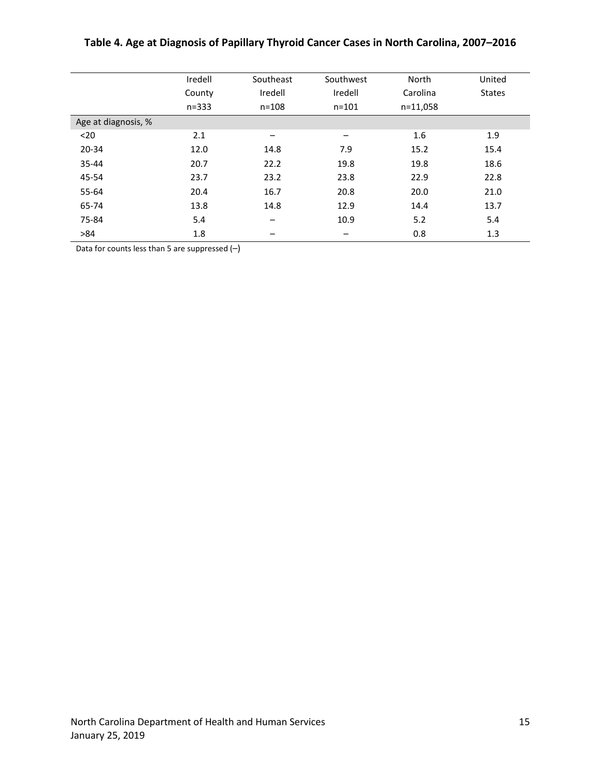|                     | Iredell   | Southeast                | Southwest                | North    | United        |
|---------------------|-----------|--------------------------|--------------------------|----------|---------------|
|                     | County    | Iredell                  | Iredell                  | Carolina | <b>States</b> |
|                     | $n = 333$ | $n = 108$                | $n = 101$                | n=11,058 |               |
| Age at diagnosis, % |           |                          |                          |          |               |
| $20$                | 2.1       | -                        | $\overline{\phantom{m}}$ | 1.6      | 1.9           |
| $20 - 34$           | 12.0      | 14.8                     | 7.9                      | 15.2     | 15.4          |
| 35-44               | 20.7      | 22.2                     | 19.8                     | 19.8     | 18.6          |
| 45-54               | 23.7      | 23.2                     | 23.8                     | 22.9     | 22.8          |
| 55-64               | 20.4      | 16.7                     | 20.8                     | 20.0     | 21.0          |
| 65-74               | 13.8      | 14.8                     | 12.9                     | 14.4     | 13.7          |
| 75-84               | 5.4       | $\overline{\phantom{m}}$ | 10.9                     | 5.2      | 5.4           |
| >84                 | 1.8       |                          |                          | 0.8      | 1.3           |

#### **Table 4. Age at Diagnosis of Papillary Thyroid Cancer Cases in North Carolina, 2007–2016**

Data for counts less than 5 are suppressed (–)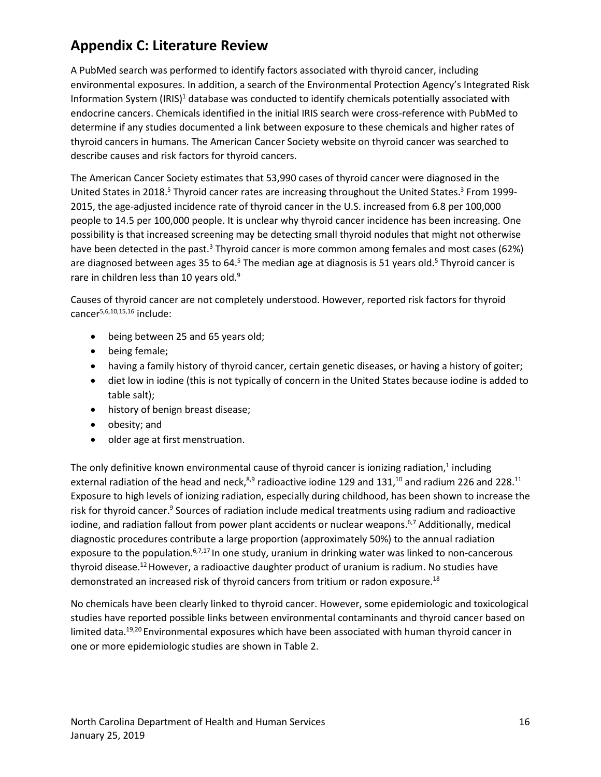# **Appendix C: Literature Review**

A PubMed search was performed to identify factors associated with thyroid cancer, including environmental exposures. In addition, a search of the Environmental Protection Agency's Integrated Risk Information System  $\left(\frac{IR}{S}\right)^1$  database was conducted to identify chemicals potentially associated with endocrine cancers. Chemicals identified in the initial IRIS search were cross-reference with PubMed to determine if any studies documented a link between exposure to these chemicals and higher rates of thyroid cancers in humans. The American Cancer Society website on thyroid cancer was searched to describe causes and risk factors for thyroid cancers.

The American Cancer Society estimates that 53,990 cases of thyroid cancer were diagnosed in the United States in 2018.<sup>5</sup> Thyroid cancer rates are increasing throughout the United States.<sup>3</sup> From 1999-2015, the age-adjusted incidence rate of thyroid cancer in the U.S. increased from 6.8 per 100,000 people to 14.5 per 100,000 people. It is unclear why thyroid cancer incidence has been increasing. One possibility is that increased screening may be detecting small thyroid nodules that might not otherwise have been detected in the past.<sup>3</sup> Thyroid cancer is more common among females and most cases (62%) are diagnosed between ages 35 to 64.<sup>5</sup> The median age at diagnosis is 51 years old.<sup>5</sup> Thyroid cancer is rare in children less than 10 years old.<sup>9</sup>

Causes of thyroid cancer are not completely understood. However, reported risk factors for thyroid cancer5,6,10,15,16 include:

- being between 25 and 65 years old;
- being female;
- having a family history of thyroid cancer, certain genetic diseases, or having a history of goiter;
- diet low in iodine (this is not typically of concern in the United States because iodine is added to table salt);
- history of benign breast disease;
- obesity; and
- older age at first menstruation.

The only definitive known environmental cause of thyroid cancer is ionizing radiation, $<sup>1</sup>$  including</sup> external radiation of the head and neck, $8,9$  radioactive iodine 129 and 131, $10$  and radium 226 and 228. $11$ Exposure to high levels of ionizing radiation, especially during childhood, has been shown to increase the risk for thyroid cancer.<sup>9</sup> Sources of radiation include medical treatments using radium and radioactive iodine, and radiation fallout from power plant accidents or nuclear weapons.<sup>6,7</sup> Additionally, medical diagnostic procedures contribute a large proportion (approximately 50%) to the annual radiation exposure to the population.<sup>6,7,17</sup> In one study, uranium in drinking water was linked to non-cancerous thyroid disease.<sup>12</sup> However, a radioactive daughter product of uranium is radium. No studies have demonstrated an increased risk of thyroid cancers from tritium or radon exposure.18

No chemicals have been clearly linked to thyroid cancer. However, some epidemiologic and toxicological studies have reported possible links between environmental contaminants and thyroid cancer based on limited data.<sup>19,20</sup> Environmental exposures which have been associated with human thyroid cancer in one or more epidemiologic studies are shown in Table 2.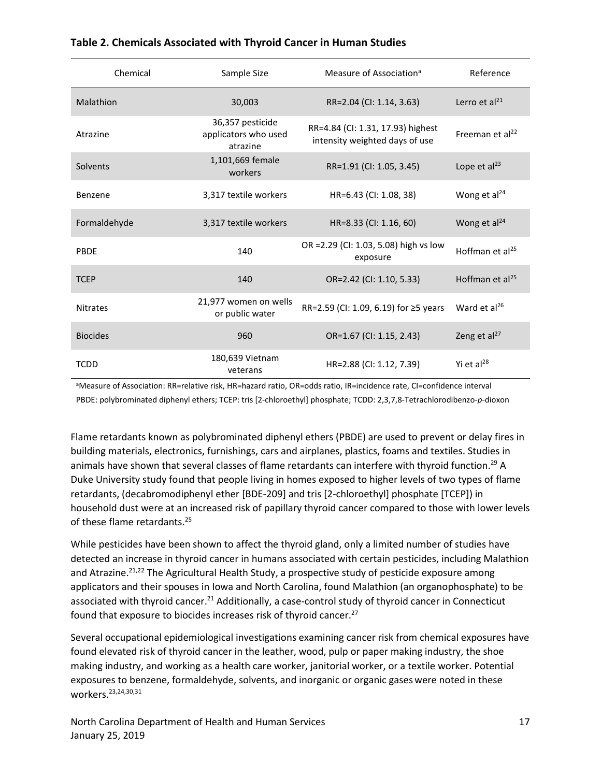| Chemical        | Sample Size                                          | Measure of Association <sup>a</sup>                                 | Reference                   |
|-----------------|------------------------------------------------------|---------------------------------------------------------------------|-----------------------------|
| Malathion       | 30,003                                               | RR=2.04 (CI: 1.14, 3.63)                                            | Lerro et al <sup>21</sup>   |
| Atrazine        | 36,357 pesticide<br>applicators who used<br>atrazine | RR=4.84 (CI: 1.31, 17.93) highest<br>intensity weighted days of use | Freeman et al <sup>22</sup> |
| Solvents        | 1,101,669 female<br>workers                          | RR=1.91 (CI: 1.05, 3.45)                                            | Lope et $al23$              |
| Benzene         | 3,317 textile workers                                | HR=6.43 (CI: 1.08, 38)                                              | Wong et al <sup>24</sup>    |
| Formaldehyde    | 3,317 textile workers                                | HR=8.33 (CI: 1.16, 60)                                              | Wong et $al24$              |
| PBDE            | 140                                                  | OR = 2.29 (CI: 1.03, 5.08) high vs low<br>exposure                  | Hoffman et al <sup>25</sup> |
| <b>TCEP</b>     | 140                                                  | OR=2.42 (CI: 1.10, 5.33)                                            | Hoffman et $al^{25}$        |
| <b>Nitrates</b> | 21,977 women on wells<br>or public water             | RR=2.59 (CI: 1.09, 6.19) for ≥5 years                               | Ward et $al^{26}$           |
| <b>Biocides</b> | 960                                                  | OR=1.67 (CI: 1.15, 2.43)                                            | Zeng et al <sup>27</sup>    |
| <b>TCDD</b>     | 180,639 Vietnam<br>veterans                          | HR=2.88 (CI: 1.12, 7.39)                                            | Yi et al <sup>28</sup>      |

#### **Table 2. Chemicals Associated with Thyroid Cancer in Human Studies**

aMeasure of Association: RR=relative risk, HR=hazard ratio, OR=odds ratio, IR=incidence rate, CI=confidence interval PBDE: polybrominated diphenyl ethers; TCEP: tris [2-chloroethyl] phosphate; TCDD: 2,3,7,8-Tetrachlorodibenzo-*p*-dioxon

Flame retardants known as polybrominated diphenyl ethers (PBDE) are used to prevent or delay fires in building materials, electronics, furnishings, cars and airplanes, plastics, foams and textiles. Studies in animals have shown that several classes of flame retardants can interfere with thyroid function.<sup>29</sup> A Duke University study found that people living in homes exposed to higher levels of two types of flame retardants, (decabromodiphenyl ether [BDE-209] and tris [2-chloroethyl] phosphate [TCEP]) in household dust were at an increased risk of papillary thyroid cancer compared to those with lower levels of these flame retardants.<sup>25</sup>

While pesticides have been shown to affect the thyroid gland, only a limited number of studies have detected an increase in thyroid cancer in humans associated with certain pesticides, including Malathion and Atrazine.<sup>21,22</sup> The Agricultural Health Study, a prospective study of pesticide exposure among applicators and their spouses in Iowa and North Carolina, found Malathion (an organophosphate) to be associated with thyroid cancer.<sup>21</sup> Additionally, a case-control study of thyroid cancer in Connecticut found that exposure to biocides increases risk of thyroid cancer.<sup>27</sup>

Several occupational epidemiological investigations examining cancer risk from chemical exposures have found elevated risk of thyroid cancer in the leather, wood, pulp or paper making industry, the shoe making industry, and working as a health care worker, janitorial worker, or a textile worker. Potential exposures to benzene, formaldehyde, solvents, and inorganic or organic gaseswere noted in these workers.23,24,30,31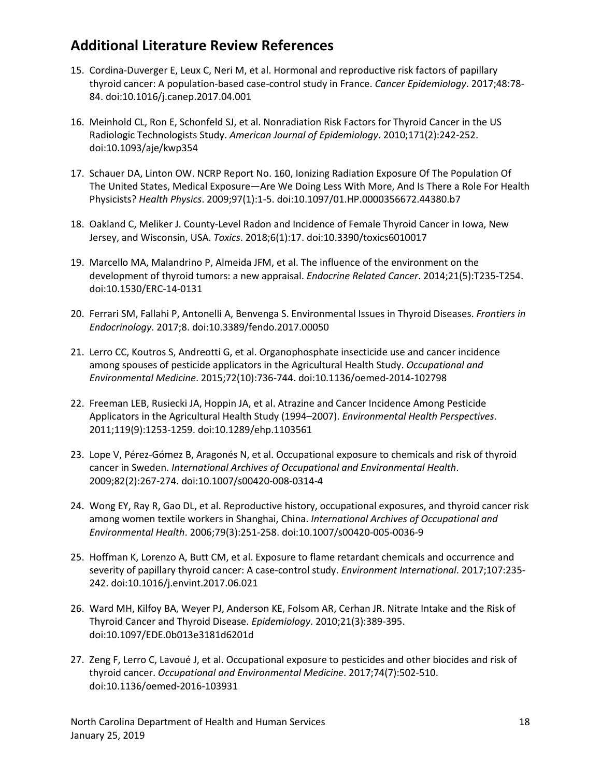## **Additional Literature Review References**

- 15. Cordina-Duverger E, Leux C, Neri M, et al. Hormonal and reproductive risk factors of papillary thyroid cancer: A population-based case-control study in France. *Cancer Epidemiology*. 2017;48:78- 84. doi:10.1016/j.canep.2017.04.001
- 16. Meinhold CL, Ron E, Schonfeld SJ, et al. Nonradiation Risk Factors for Thyroid Cancer in the US Radiologic Technologists Study. *American Journal of Epidemiology*. 2010;171(2):242-252. doi:10.1093/aje/kwp354
- 17. Schauer DA, Linton OW. NCRP Report No. 160, Ionizing Radiation Exposure Of The Population Of The United States, Medical Exposure—Are We Doing Less With More, And Is There a Role For Health Physicists? *Health Physics*. 2009;97(1):1-5. doi:10.1097/01.HP.0000356672.44380.b7
- 18. Oakland C, Meliker J. County-Level Radon and Incidence of Female Thyroid Cancer in Iowa, New Jersey, and Wisconsin, USA. *Toxics*. 2018;6(1):17. doi:10.3390/toxics6010017
- 19. Marcello MA, Malandrino P, Almeida JFM, et al. The influence of the environment on the development of thyroid tumors: a new appraisal. *Endocrine Related Cancer*. 2014;21(5):T235-T254. doi:10.1530/ERC-14-0131
- 20. Ferrari SM, Fallahi P, Antonelli A, Benvenga S. Environmental Issues in Thyroid Diseases. *Frontiers in Endocrinology*. 2017;8. doi:10.3389/fendo.2017.00050
- 21. Lerro CC, Koutros S, Andreotti G, et al. Organophosphate insecticide use and cancer incidence among spouses of pesticide applicators in the Agricultural Health Study. *Occupational and Environmental Medicine*. 2015;72(10):736-744. doi:10.1136/oemed-2014-102798
- 22. Freeman LEB, Rusiecki JA, Hoppin JA, et al. Atrazine and Cancer Incidence Among Pesticide Applicators in the Agricultural Health Study (1994–2007). *Environmental Health Perspectives*. 2011;119(9):1253-1259. doi:10.1289/ehp.1103561
- 23. Lope V, Pérez-Gómez B, Aragonés N, et al. Occupational exposure to chemicals and risk of thyroid cancer in Sweden. *International Archives of Occupational and Environmental Health*. 2009;82(2):267-274. doi:10.1007/s00420-008-0314-4
- 24. Wong EY, Ray R, Gao DL, et al. Reproductive history, occupational exposures, and thyroid cancer risk among women textile workers in Shanghai, China. *International Archives of Occupational and Environmental Health*. 2006;79(3):251-258. doi:10.1007/s00420-005-0036-9
- 25. Hoffman K, Lorenzo A, Butt CM, et al. Exposure to flame retardant chemicals and occurrence and severity of papillary thyroid cancer: A case-control study. *Environment International*. 2017;107:235- 242. doi:10.1016/j.envint.2017.06.021
- 26. Ward MH, Kilfoy BA, Weyer PJ, Anderson KE, Folsom AR, Cerhan JR. Nitrate Intake and the Risk of Thyroid Cancer and Thyroid Disease. *Epidemiology*. 2010;21(3):389-395. doi:10.1097/EDE.0b013e3181d6201d
- 27. Zeng F, Lerro C, Lavoué J, et al. Occupational exposure to pesticides and other biocides and risk of thyroid cancer. *Occupational and Environmental Medicine*. 2017;74(7):502-510. doi:10.1136/oemed-2016-103931